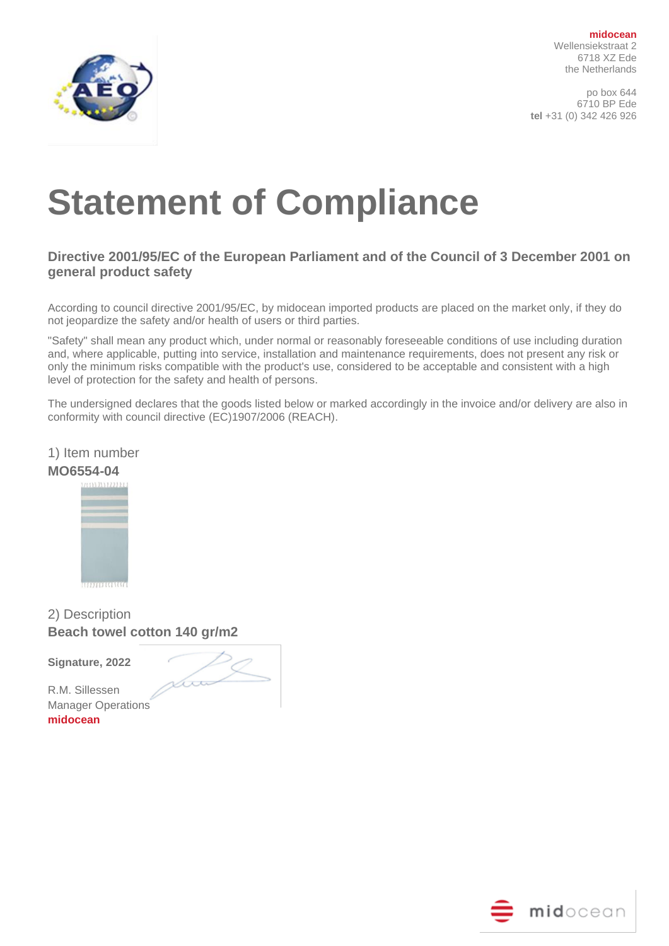

**midocean** Wellensiekstraat 2 6718 XZ Ede the Netherlands

po box 644 6710 BP Ede **tel** +31 (0) 342 426 926

# **Statement of Compliance**

## **Directive 2001/95/EC of the European Parliament and of the Council of 3 December 2001 on general product safety**

According to council directive 2001/95/EC, by midocean imported products are placed on the market only, if they do not jeopardize the safety and/or health of users or third parties.

"Safety" shall mean any product which, under normal or reasonably foreseeable conditions of use including duration and, where applicable, putting into service, installation and maintenance requirements, does not present any risk or only the minimum risks compatible with the product's use, considered to be acceptable and consistent with a high level of protection for the safety and health of persons.

The undersigned declares that the goods listed below or marked accordingly in the invoice and/or delivery are also in conformity with council directive (EC)1907/2006 (REACH).



**MO6554-04**



2) Description **Beach towel cotton 140 gr/m2**

**Signature, 2022** 

Loo

R.M. Sillessen Manager Operations **midocean**

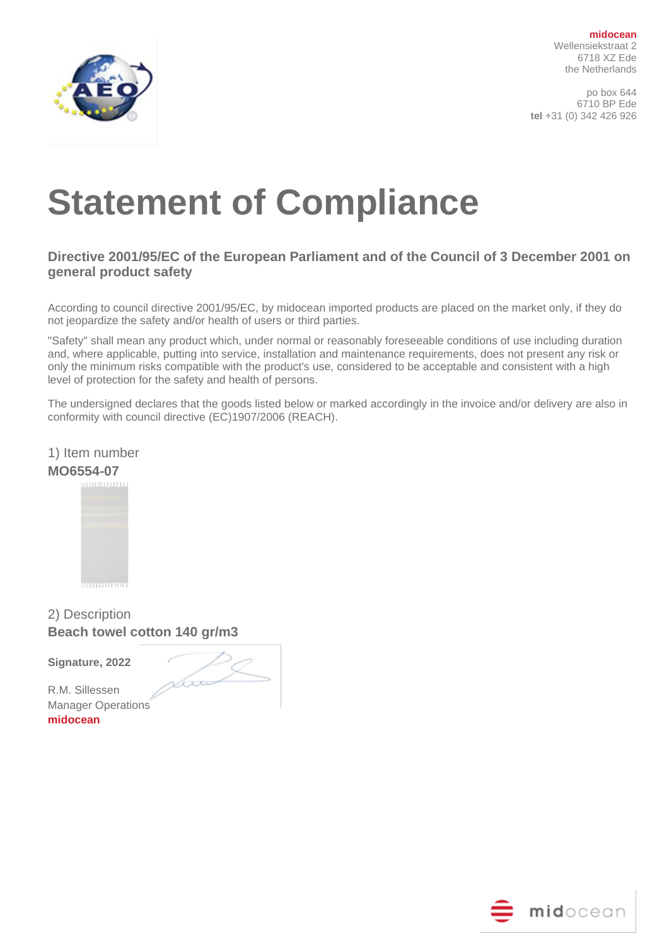

**midocean** Wellensiekstraat 2 6718 XZ Ede the Netherlands

po box 644 6710 BP Ede **tel** +31 (0) 342 426 926

# **Statement of Compliance**

## **Directive 2001/95/EC of the European Parliament and of the Council of 3 December 2001 on general product safety**

According to council directive 2001/95/EC, by midocean imported products are placed on the market only, if they do not jeopardize the safety and/or health of users or third parties.

"Safety" shall mean any product which, under normal or reasonably foreseeable conditions of use including duration and, where applicable, putting into service, installation and maintenance requirements, does not present any risk or only the minimum risks compatible with the product's use, considered to be acceptable and consistent with a high level of protection for the safety and health of persons.

The undersigned declares that the goods listed below or marked accordingly in the invoice and/or delivery are also in conformity with council directive (EC)1907/2006 (REACH).



**MO6554-07**



2) Description **Beach towel cotton 140 gr/m3**

**Signature, 2022** 

Loo

R.M. Sillessen Manager Operations **midocean**